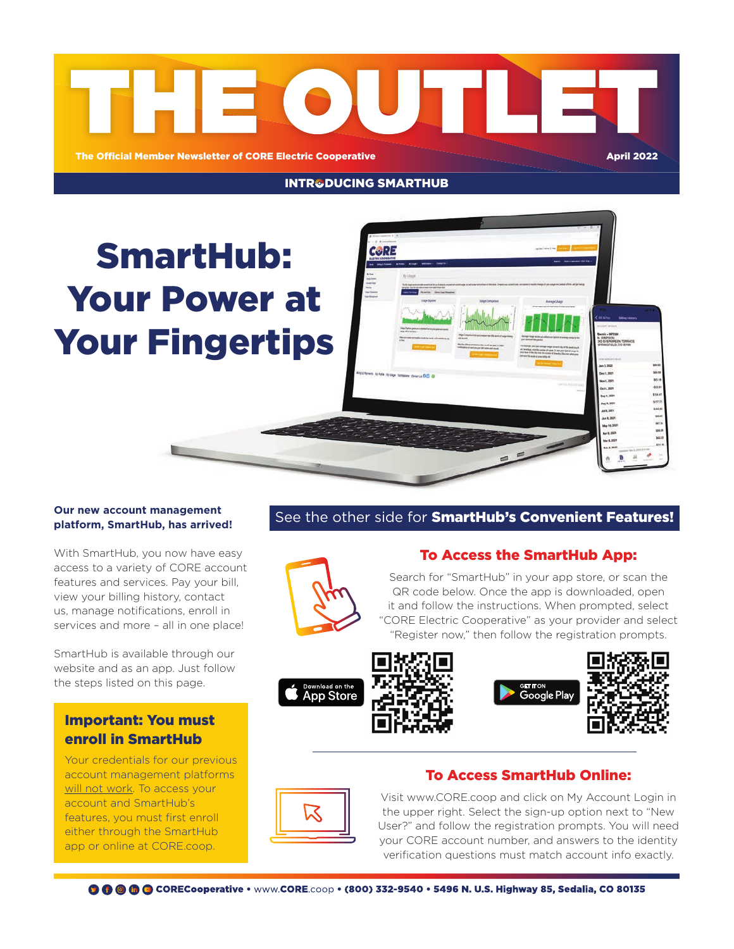

**INTR&DUCING SMARTHUB** 

# SmartHub: Your Power at Your Fingertips



#### **Our new account management platform, SmartHub, has arrived!**

With SmartHub, you now have easy access to a variety of CORE account features and services. Pay your bill, view your billing history, contact us, manage notifications, enroll in services and more – all in one place!

SmartHub is available through our website and as an app. Just follow the steps listed on this page.

# Important: You must enroll in SmartHub

Your credentials for our previous account management platforms will not work. To access your account and SmartHub's features, you must first enroll either through the SmartHub app or online at CORE.coop.

# See the other side for **SmartHub's Convenient Features!**



## To Access the SmartHub App:

Search for "SmartHub" in your app store, or scan the QR code below. Once the app is downloaded, open it and follow the instructions. When prompted, select "CORE Electric Cooperative" as your provider and select "Register now," then follow the registration prompts.









# To Access SmartHub Online:



Visit www.CORE.coop and click on My Account Login in the upper right. Select the sign-up option next to "New User?" and follow the registration prompts. You will need your CORE account number, and answers to the identity verification questions must match account info exactly.